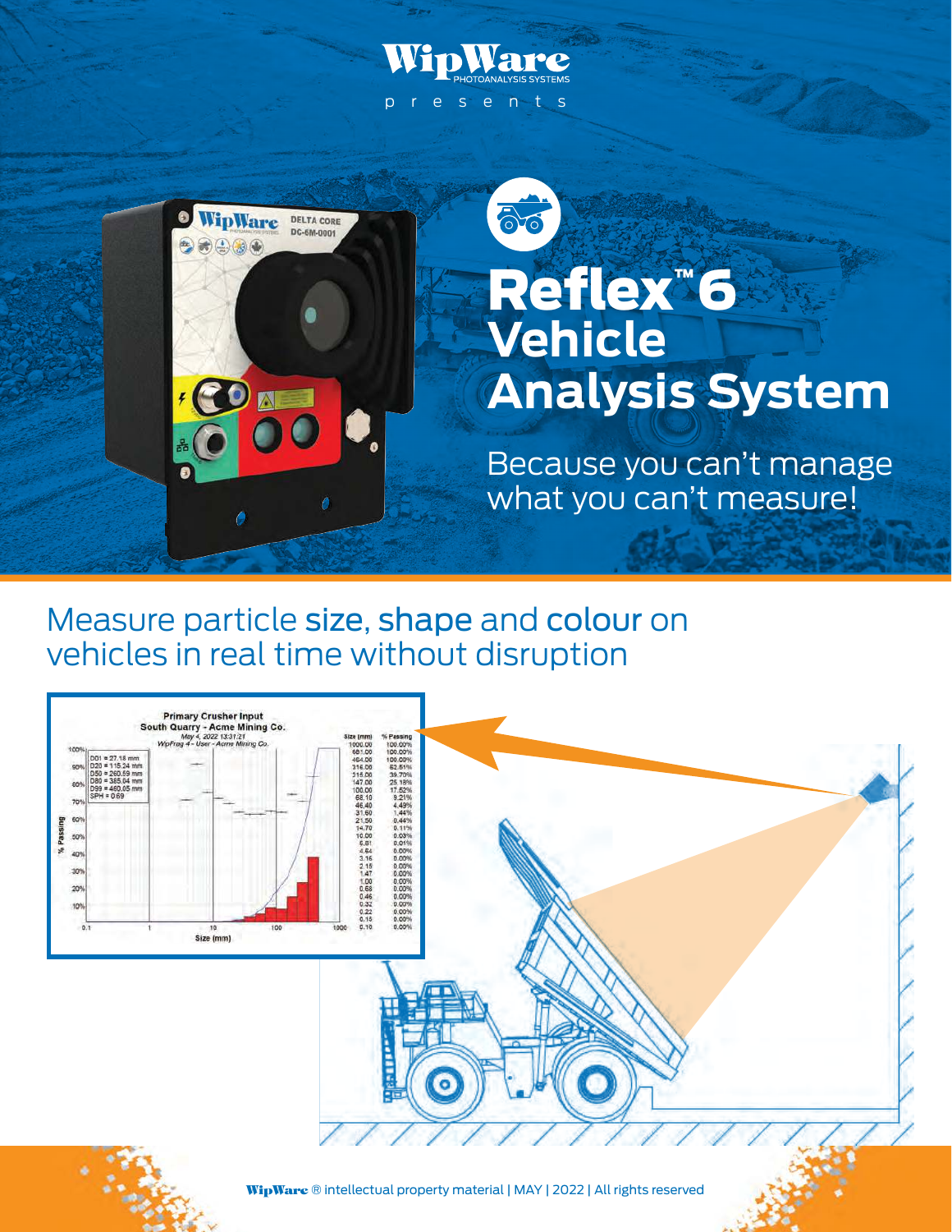

Measure particle size, shape and colour on vehicles in real time without disruption